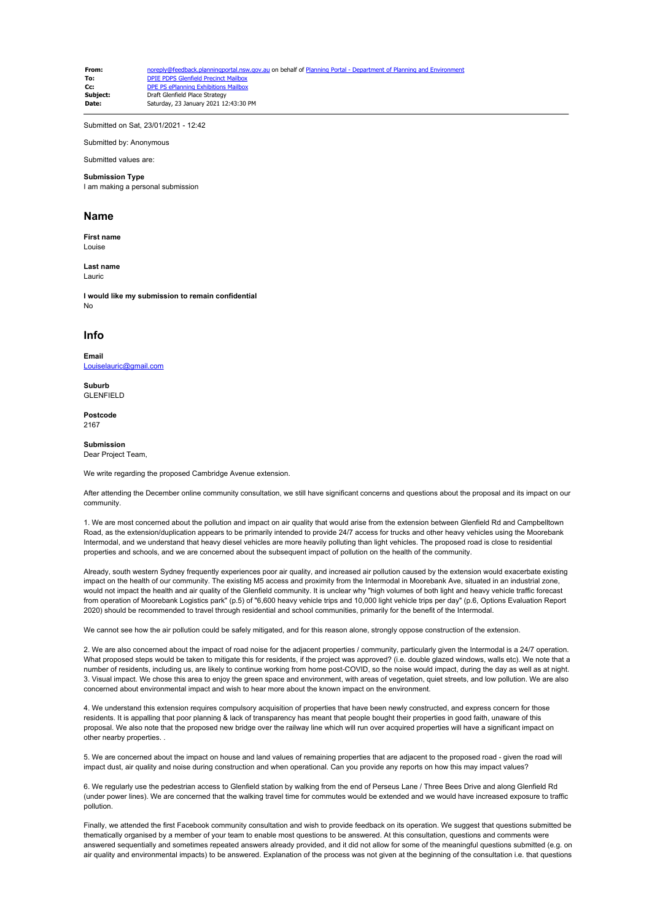**From:** [noreply@feedback.planningportal.nsw.gov.au](mailto:noreply@feedback.planningportal.nsw.gov.au) on behalf of Planning Portal - Department of Planning and En **To:** [DPIE PDPS Glenfield Precinct Mailbox](mailto:glenfield.precinct@planning.nsw.gov.au)<br> **CC:** DPF PS ePlanning Exhibitions Mailbox **Cc:** [DPE PS ePlanning Exhibitions Mailbox](mailto:eplanning.exhibitions@planning.nsw.gov.au)<br>
Subject: Draft Glenfield Place Strategy **Subject:** Draft Glenfield Place Strategy<br>
Date: Saturday 23 January 2021-12 **Date:** Saturday, 23 January 2021 12:43:30 PM

Submitted on Sat, 23/01/2021 - 12:42

Submitted by: Anonymous

Submitted values are:

## **Submission Type**

I am making a personal submission

## **Name**

**First name** Louise

**Last name** Lauric

**I would like my submission to remain confidential** No

## **Info**

**Email** [Louiselauric@gmail.com](mailto:Louiselauric@gmail.com)

**Suburb** GLENFIELD

**Postcode** 2167

## **Submission**

Dear Project Team,

We write regarding the proposed Cambridge Avenue extension.

After attending the December online community consultation, we still have significant concerns and questions about the proposal and its impact on our community.

1. We are most concerned about the pollution and impact on air quality that would arise from the extension between Glenfield Rd and Campbelltown Road, as the extension/duplication appears to be primarily intended to provide 24/7 access for trucks and other heavy vehicles using the Moorebank Intermodal, and we understand that heavy diesel vehicles are more heavily polluting than light vehicles. The proposed road is close to residential properties and schools, and we are concerned about the subsequent impact of pollution on the health of the community.

Already, south western Sydney frequently experiences poor air quality, and increased air pollution caused by the extension would exacerbate existing impact on the health of our community. The existing M5 access and proximity from the Intermodal in Moorebank Ave, situated in an industrial zone, would not impact the health and air quality of the Glenfield community. It is unclear why "high volumes of both light and heavy vehicle traffic forecast from operation of Moorebank Logistics park" (p.5) of "6,600 heavy vehicle trips and 10,000 light vehicle trips per day" (p.6, Options Evaluation Report 2020) should be recommended to travel through residential and school communities, primarily for the benefit of the Intermodal.

We cannot see how the air pollution could be safely mitigated, and for this reason alone, strongly oppose construction of the extension.

2. We are also concerned about the impact of road noise for the adjacent properties / community, particularly given the Intermodal is a 24/7 operation. What proposed steps would be taken to mitigate this for residents, if the project was approved? (i.e. double glazed windows, walls etc). We note that a number of residents, including us, are likely to continue working from home post-COVID, so the noise would impact, during the day as well as at night. 3. Visual impact. We chose this area to enjoy the green space and environment, with areas of vegetation, quiet streets, and low pollution. We are also concerned about environmental impact and wish to hear more about the known impact on the environment.

4. We understand this extension requires compulsory acquisition of properties that have been newly constructed, and express concern for those residents. It is appalling that poor planning & lack of transparency has meant that people bought their properties in good faith, unaware of this proposal. We also note that the proposed new bridge over the railway line which will run over acquired properties will have a significant impact on other nearby properties. .

5. We are concerned about the impact on house and land values of remaining properties that are adjacent to the proposed road - given the road will impact dust, air quality and noise during construction and when operational. Can you provide any reports on how this may impact values?

6. We regularly use the pedestrian access to Glenfield station by walking from the end of Perseus Lane / Three Bees Drive and along Glenfield Rd (under power lines). We are concerned that the walking travel time for commutes would be extended and we would have increased exposure to traffic pollution.

Finally, we attended the first Facebook community consultation and wish to provide feedback on its operation. We suggest that questions submitted be thematically organised by a member of your team to enable most questions to be answered. At this consultation, questions and comments were answered sequentially and sometimes repeated answers already provided, and it did not allow for some of the meaningful questions submitted (e.g. on air quality and environmental impacts) to be answered. Explanation of the process was not given at the beginning of the consultation i.e. that questions